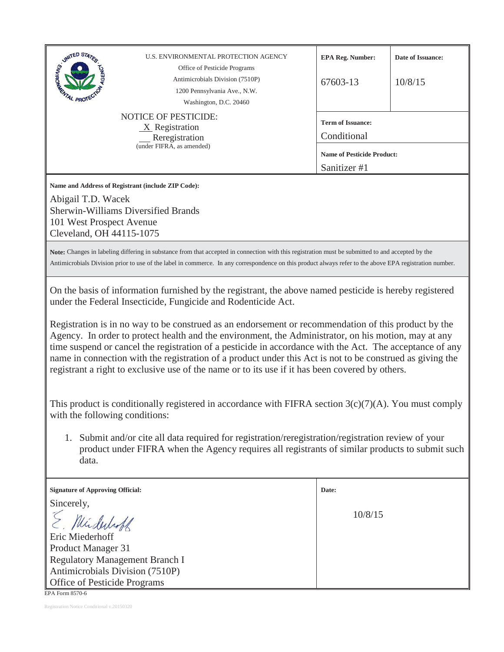| <b>SUMTED STATES</b><br><b>AL PROT</b>                                     | U.S. ENVIRONMENTAL PROTECTION AGENCY<br>Office of Pesticide Programs<br>Antimicrobials Division (7510P)<br>1200 Pennsylvania Ave., N.W.<br>Washington, D.C. 20460                                                                                                                                                                                                                                                                                                                                                                                                                                         | <b>EPA Reg. Number:</b><br>67603-13               | Date of Issuance:<br>10/8/15 |  |
|----------------------------------------------------------------------------|-----------------------------------------------------------------------------------------------------------------------------------------------------------------------------------------------------------------------------------------------------------------------------------------------------------------------------------------------------------------------------------------------------------------------------------------------------------------------------------------------------------------------------------------------------------------------------------------------------------|---------------------------------------------------|------------------------------|--|
|                                                                            | <b>NOTICE OF PESTICIDE:</b><br>$X$ Registration<br>Reregistration                                                                                                                                                                                                                                                                                                                                                                                                                                                                                                                                         | <b>Term of Issuance:</b><br>Conditional           |                              |  |
| (under FIFRA, as amended)                                                  |                                                                                                                                                                                                                                                                                                                                                                                                                                                                                                                                                                                                           | <b>Name of Pesticide Product:</b><br>Sanitizer #1 |                              |  |
| Abigail T.D. Wacek<br>101 West Prospect Avenue<br>Cleveland, OH 44115-1075 | Name and Address of Registrant (include ZIP Code):<br><b>Sherwin-Williams Diversified Brands</b>                                                                                                                                                                                                                                                                                                                                                                                                                                                                                                          |                                                   |                              |  |
|                                                                            | Note: Changes in labeling differing in substance from that accepted in connection with this registration must be submitted to and accepted by the<br>Antimicrobials Division prior to use of the label in commerce. In any correspondence on this product always refer to the above EPA registration number.                                                                                                                                                                                                                                                                                              |                                                   |                              |  |
|                                                                            | On the basis of information furnished by the registrant, the above named pesticide is hereby registered                                                                                                                                                                                                                                                                                                                                                                                                                                                                                                   |                                                   |                              |  |
|                                                                            | under the Federal Insecticide, Fungicide and Rodenticide Act.<br>Registration is in no way to be construed as an endorsement or recommendation of this product by the<br>Agency. In order to protect health and the environment, the Administrator, on his motion, may at any<br>time suspend or cancel the registration of a pesticide in accordance with the Act. The acceptance of any<br>name in connection with the registration of a product under this Act is not to be construed as giving the<br>registrant a right to exclusive use of the name or to its use if it has been covered by others. |                                                   |                              |  |
| with the following conditions:                                             | This product is conditionally registered in accordance with FIFRA section $3(c)(7)(A)$ . You must comply                                                                                                                                                                                                                                                                                                                                                                                                                                                                                                  |                                                   |                              |  |
| data.                                                                      | 1. Submit and/or cite all data required for registration/reregistration/registration review of your<br>product under FIFRA when the Agency requires all registrants of similar products to submit such                                                                                                                                                                                                                                                                                                                                                                                                    |                                                   |                              |  |
| <b>Signature of Approving Official:</b><br>Sincerely,                      |                                                                                                                                                                                                                                                                                                                                                                                                                                                                                                                                                                                                           | Date:                                             |                              |  |

Registration Notice Conditional v.20150320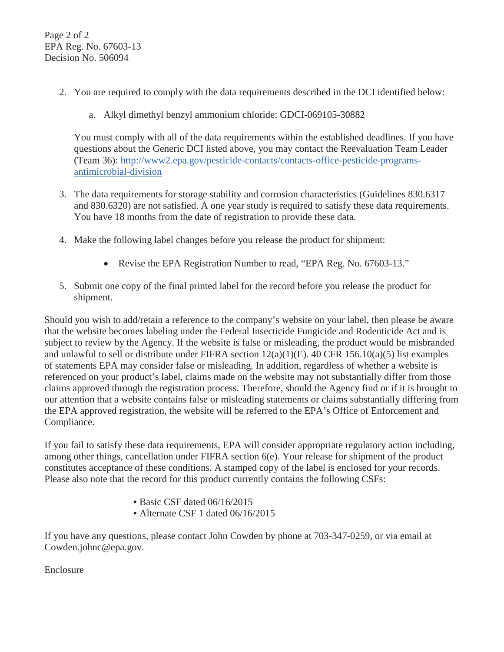- 2. You are required to comply with the data requirements described in the DCI identified below:
	- a. Alkyl dimethyl benzyl ammonium chloride: GDCI-069105-30882

You must comply with all of the data requirements within the established deadlines. If you have questions about the Generic DCI listed above, you may contact the Reevaluation Team Leader (Team 36): http://www2.epa.gov/pesticide-contacts/contacts-office-pesticide-programsantimicrobial-division

- 3. The data requirements for storage stability and corrosion characteristics (Guidelines 830.6317 and 830.6320) are not satisfied. A one year study is required to satisfy these data requirements. You have 18 months from the date of registration to provide these data.
- 4. Make the following label changes before you release the product for shipment:
	- Revise the EPA Registration Number to read, "EPA Reg. No. 67603-13."
- 5. Submit one copy of the final printed label for the record before you release the product for shipment.

Should you wish to add/retain a reference to the company's website on your label, then please be aware that the website becomes labeling under the Federal Insecticide Fungicide and Rodenticide Act and is subject to review by the Agency. If the website is false or misleading, the product would be misbranded and unlawful to sell or distribute under FIFRA section 12(a)(1)(E). 40 CFR 156.10(a)(5) list examples of statements EPA may consider false or misleading. In addition, regardless of whether a website is referenced on your product's label, claims made on the website may not substantially differ from those claims approved through the registration process. Therefore, should the Agency find or if it is brought to our attention that a website contains false or misleading statements or claims substantially differing from the EPA approved registration, the website will be referred to the EPA's Office of Enforcement and Compliance.

If you fail to satisfy these data requirements, EPA will consider appropriate regulatory action including, among other things, cancellation under FIFRA section 6(e). Your release for shipment of the product constitutes acceptance of these conditions. A stamped copy of the label is enclosed for your records. Please also note that the record for this product currently contains the following CSFs:

- Basic CSF dated 06/16/2015
- Alternate CSF 1 dated 06/16/2015

If you have any questions, please contact John Cowden by phone at 703-347-0259, or via email at Cowden.johnc@epa.gov.

Enclosure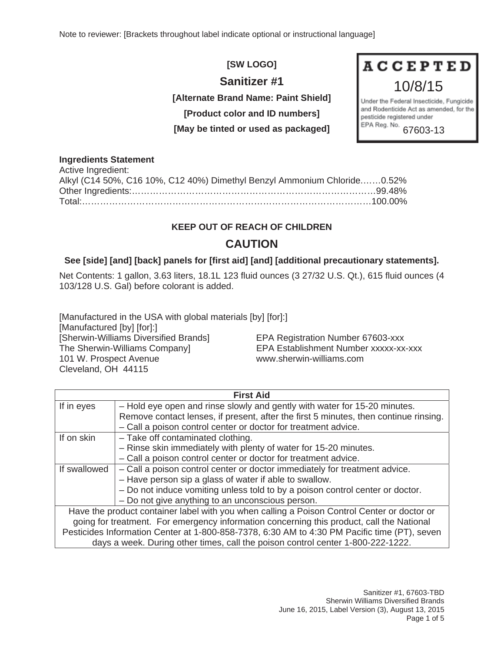Note to reviewer: [Brackets throughout label indicate optional or instructional language]

## **[SW LOGO]**

## **Sanitizer #1**

**[Alternate Brand Name: Paint Shield]** 

**[Product color and ID numbers]** 

**[May be tinted or used as packaged]** 

# **ACCEPTED** 10/8/15

Under the Federal Insecticide, Fungicide and Rodenticide Act as amended, for the pesticide registered under EPA Reg. No. 67603-13

#### **Ingredients Statement**

| Active Ingredient:                                                       |  |
|--------------------------------------------------------------------------|--|
| Alkyl (C14 50%, C16 10%, C12 40%) Dimethyl Benzyl Ammonium Chloride0.52% |  |
|                                                                          |  |
|                                                                          |  |

## **KEEP OUT OF REACH OF CHILDREN**

## **CAUTION**

### **See [side] [and] [back] panels for [first aid] [and] [additional precautionary statements].**

Net Contents: 1 gallon, 3.63 liters, 18.1L 123 fluid ounces (3 27/32 U.S. Qt.), 615 fluid ounces (4 103/128 U.S. Gal) before colorant is added.

[Manufactured in the USA with global materials [by] [for]:] [Manufactured [by] [for]:] [Sherwin-Williams Diversified Brands] EPA Registration Number 67603-xxx The Sherwin-Williams Company] EPA Establishment Number xxxxx-xx-xxx 101 W. Prospect Avenue www.sherwin-williams.com Cleveland, OH 44115

| <b>First Aid</b>                                                                             |                                                                                      |  |
|----------------------------------------------------------------------------------------------|--------------------------------------------------------------------------------------|--|
| If in eyes                                                                                   | - Hold eye open and rinse slowly and gently with water for 15-20 minutes.            |  |
|                                                                                              | Remove contact lenses, if present, after the first 5 minutes, then continue rinsing. |  |
|                                                                                              | - Call a poison control center or doctor for treatment advice.                       |  |
| If on skin                                                                                   | - Take off contaminated clothing.                                                    |  |
|                                                                                              | - Rinse skin immediately with plenty of water for 15-20 minutes.                     |  |
|                                                                                              | - Call a poison control center or doctor for treatment advice.                       |  |
| If swallowed                                                                                 | - Call a poison control center or doctor immediately for treatment advice.           |  |
|                                                                                              | - Have person sip a glass of water if able to swallow.                               |  |
|                                                                                              | - Do not induce vomiting unless told to by a poison control center or doctor.        |  |
|                                                                                              | - Do not give anything to an unconscious person.                                     |  |
| Have the product container label with you when calling a Poison Control Center or doctor or  |                                                                                      |  |
| going for treatment. For emergency information concerning this product, call the National    |                                                                                      |  |
| Pesticides Information Center at 1-800-858-7378, 6:30 AM to 4:30 PM Pacific time (PT), seven |                                                                                      |  |
| days a week. During other times, call the poison control center 1-800-222-1222.              |                                                                                      |  |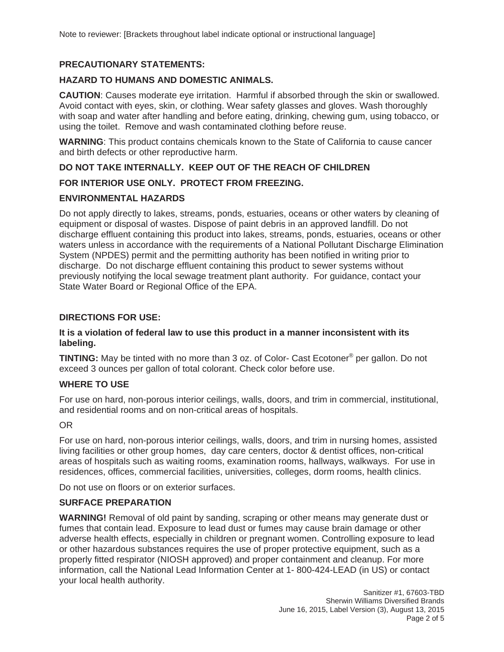#### **PRECAUTIONARY STATEMENTS:**

#### **HAZARD TO HUMANS AND DOMESTIC ANIMALS.**

**CAUTION**: Causes moderate eye irritation. Harmful if absorbed through the skin or swallowed. Avoid contact with eyes, skin, or clothing. Wear safety glasses and gloves. Wash thoroughly with soap and water after handling and before eating, drinking, chewing gum, using tobacco, or using the toilet. Remove and wash contaminated clothing before reuse.

**WARNING**: This product contains chemicals known to the State of California to cause cancer and birth defects or other reproductive harm.

#### **DO NOT TAKE INTERNALLY. KEEP OUT OF THE REACH OF CHILDREN**

#### **FOR INTERIOR USE ONLY. PROTECT FROM FREEZING.**

#### **ENVIRONMENTAL HAZARDS**

Do not apply directly to lakes, streams, ponds, estuaries, oceans or other waters by cleaning of equipment or disposal of wastes. Dispose of paint debris in an approved landfill. Do not discharge effluent containing this product into lakes, streams, ponds, estuaries, oceans or other waters unless in accordance with the requirements of a National Pollutant Discharge Elimination System (NPDES) permit and the permitting authority has been notified in writing prior to discharge. Do not discharge effluent containing this product to sewer systems without previously notifying the local sewage treatment plant authority. For guidance, contact your State Water Board or Regional Office of the EPA.

#### **DIRECTIONS FOR USE:**

#### **It is a violation of federal law to use this product in a manner inconsistent with its labeling.**

**TINTING:** May be tinted with no more than 3 oz. of Color- Cast Ecotoner® per gallon. Do not exceed 3 ounces per gallon of total colorant. Check color before use.

#### **WHERE TO USE**

For use on hard, non-porous interior ceilings, walls, doors, and trim in commercial, institutional, and residential rooms and on non-critical areas of hospitals.

#### OR

For use on hard, non-porous interior ceilings, walls, doors, and trim in nursing homes, assisted living facilities or other group homes, day care centers, doctor & dentist offices, non-critical areas of hospitals such as waiting rooms, examination rooms, hallways, walkways. For use in residences, offices, commercial facilities, universities, colleges, dorm rooms, health clinics.

Do not use on floors or on exterior surfaces.

#### **SURFACE PREPARATION**

**WARNING!** Removal of old paint by sanding, scraping or other means may generate dust or fumes that contain lead. Exposure to lead dust or fumes may cause brain damage or other adverse health effects, especially in children or pregnant women. Controlling exposure to lead or other hazardous substances requires the use of proper protective equipment, such as a properly fitted respirator (NIOSH approved) and proper containment and cleanup. For more information, call the National Lead Information Center at 1- 800-424-LEAD (in US) or contact your local health authority.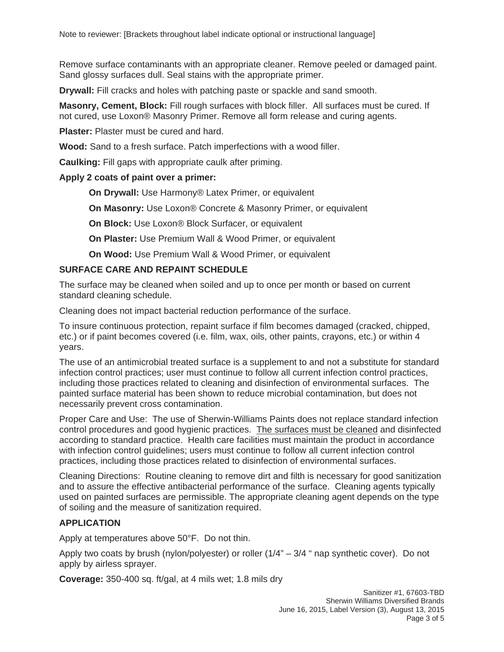Remove surface contaminants with an appropriate cleaner. Remove peeled or damaged paint. Sand glossy surfaces dull. Seal stains with the appropriate primer.

**Drywall:** Fill cracks and holes with patching paste or spackle and sand smooth.

**Masonry, Cement, Block:** Fill rough surfaces with block filler. All surfaces must be cured. If not cured, use Loxon® Masonry Primer. Remove all form release and curing agents.

**Plaster:** Plaster must be cured and hard.

**Wood:** Sand to a fresh surface. Patch imperfections with a wood filler.

**Caulking:** Fill gaps with appropriate caulk after priming.

#### **Apply 2 coats of paint over a primer:**

**On Drywall:** Use Harmony® Latex Primer, or equivalent

**On Masonry:** Use Loxon® Concrete & Masonry Primer, or equivalent

**On Block:** Use Loxon® Block Surfacer, or equivalent

**On Plaster:** Use Premium Wall & Wood Primer, or equivalent

**On Wood:** Use Premium Wall & Wood Primer, or equivalent

#### **SURFACE CARE AND REPAINT SCHEDULE**

The surface may be cleaned when soiled and up to once per month or based on current standard cleaning schedule.

Cleaning does not impact bacterial reduction performance of the surface.

To insure continuous protection, repaint surface if film becomes damaged (cracked, chipped, etc.) or if paint becomes covered (i.e. film, wax, oils, other paints, crayons, etc.) or within 4 years.

The use of an antimicrobial treated surface is a supplement to and not a substitute for standard infection control practices; user must continue to follow all current infection control practices, including those practices related to cleaning and disinfection of environmental surfaces. The painted surface material has been shown to reduce microbial contamination, but does not necessarily prevent cross contamination.

Proper Care and Use: The use of Sherwin-Williams Paints does not replace standard infection control procedures and good hygienic practices. The surfaces must be cleaned and disinfected according to standard practice. Health care facilities must maintain the product in accordance with infection control guidelines; users must continue to follow all current infection control practices, including those practices related to disinfection of environmental surfaces.

Cleaning Directions: Routine cleaning to remove dirt and filth is necessary for good sanitization and to assure the effective antibacterial performance of the surface. Cleaning agents typically used on painted surfaces are permissible. The appropriate cleaning agent depends on the type of soiling and the measure of sanitization required.

#### **APPLICATION**

Apply at temperatures above 50°F. Do not thin.

Apply two coats by brush (nylon/polyester) or roller  $(1/4<sup>n</sup> - 3/4<sup>n</sup>$  nap synthetic cover). Do not apply by airless sprayer.

**Coverage:** 350-400 sq. ft/gal, at 4 mils wet; 1.8 mils dry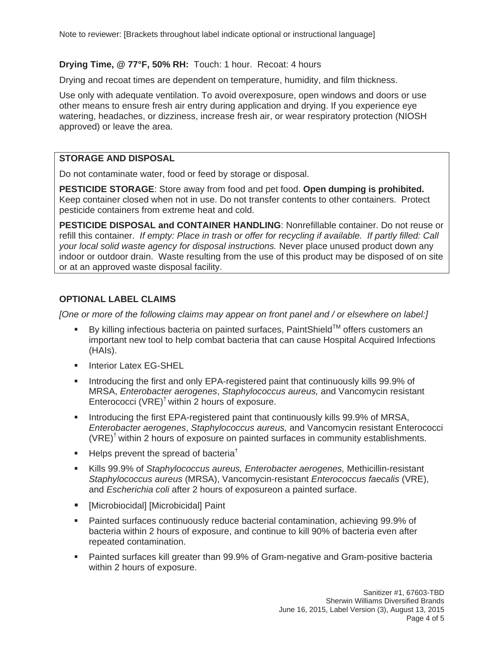#### **Drying Time, @ 77°F, 50% RH:** Touch: 1 hour. Recoat: 4 hours

Drying and recoat times are dependent on temperature, humidity, and film thickness.

Use only with adequate ventilation. To avoid overexposure, open windows and doors or use other means to ensure fresh air entry during application and drying. If you experience eye watering, headaches, or dizziness, increase fresh air, or wear respiratory protection (NIOSH approved) or leave the area.

#### **STORAGE AND DISPOSAL**

Do not contaminate water, food or feed by storage or disposal.

**PESTICIDE STORAGE**: Store away from food and pet food. **Open dumping is prohibited.**  Keep container closed when not in use. Do not transfer contents to other containers. Protect pesticide containers from extreme heat and cold.

**PESTICIDE DISPOSAL and CONTAINER HANDLING**: Nonrefillable container. Do not reuse or refill this container. *If empty: Place in trash or offer for recycling if available. If partly filled: Call your local solid waste agency for disposal instructions.* Never place unused product down any indoor or outdoor drain. Waste resulting from the use of this product may be disposed of on site or at an approved waste disposal facility.

#### **OPTIONAL LABEL CLAIMS**

*[One or more of the following claims may appear on front panel and / or elsewhere on label:]* 

- By killing infectious bacteria on painted surfaces, PaintShield<sup>TM</sup> offers customers an important new tool to help combat bacteria that can cause Hospital Acquired Infections (HAIs).
- **Interior Latex EG-SHEL**
- **Introducing the first and only EPA-registered paint that continuously kills 99.9% of** MRSA, *Enterobacter aerogenes*, *Staphylococcus aureus,* and Vancomycin resistant Enterococci (VRE)† within 2 hours of exposure.
- **Introducing the first EPA-registered paint that continuously kills 99.9% of MRSA,** *Enterobacter aerogenes*, *Staphylococcus aureus,* and Vancomycin resistant Enterococci  $(VRE)^{\dagger}$  within 2 hours of exposure on painted surfaces in community establishments.
- Helps prevent the spread of bacteria<sup>†</sup>
- Kills 99.9% of *Staphylococcus aureus, Enterobacter aerogenes,* Methicillin-resistant *Staphylococcus aureus* (MRSA), Vancomycin-resistant *Enterococcus faecalis* (VRE), and *Escherichia coli* after 2 hours of exposureon a painted surface.
- [Microbiocidal] [Microbicidal] Paint
- Painted surfaces continuously reduce bacterial contamination, achieving 99.9% of bacteria within 2 hours of exposure, and continue to kill 90% of bacteria even after repeated contamination.
- Painted surfaces kill greater than 99.9% of Gram-negative and Gram-positive bacteria within 2 hours of exposure.